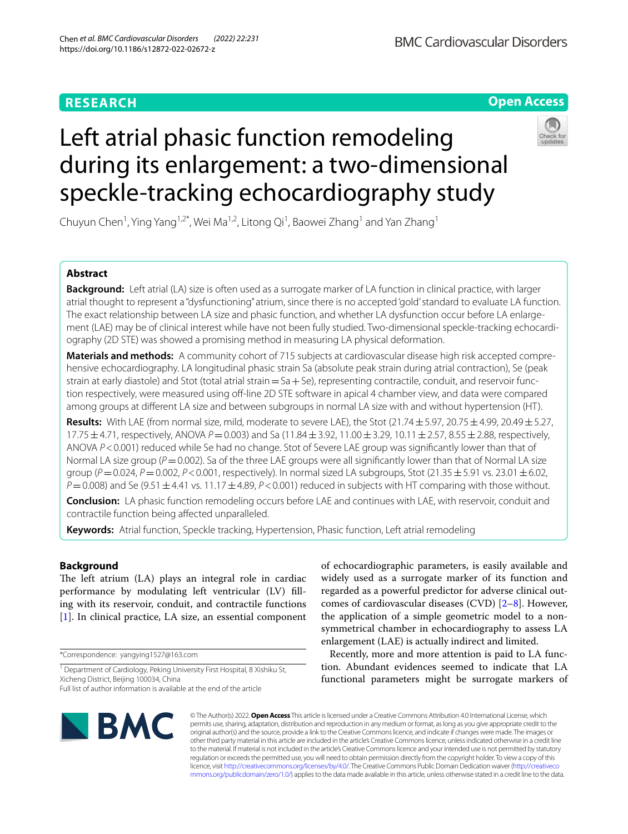# **RESEARCH**

# **Open Access**



# Left atrial phasic function remodeling during its enlargement: a two-dimensional speckle-tracking echocardiography study

Chuyun Chen<sup>1</sup>, Ying Yang<sup>1,2\*</sup>, Wei Ma<sup>1,2</sup>, Litong Qi<sup>1</sup>, Baowei Zhang<sup>1</sup> and Yan Zhang<sup>1</sup>

# **Abstract**

**Background:** Left atrial (LA) size is often used as a surrogate marker of LA function in clinical practice, with larger atrial thought to represent a "dysfunctioning" atrium, since there is no accepted 'gold' standard to evaluate LA function. The exact relationship between LA size and phasic function, and whether LA dysfunction occur before LA enlargement (LAE) may be of clinical interest while have not been fully studied. Two-dimensional speckle-tracking echocardiography (2D STE) was showed a promising method in measuring LA physical deformation.

**Materials and methods:** A community cohort of 715 subjects at cardiovascular disease high risk accepted comprehensive echocardiography. LA longitudinal phasic strain Sa (absolute peak strain during atrial contraction), Se (peak strain at early diastole) and Stot (total atrial strain =  $Sa + Se$ ), representing contractile, conduit, and reservoir function respectively, were measured using off-line 2D STE software in apical 4 chamber view, and data were compared among groups at diferent LA size and between subgroups in normal LA size with and without hypertension (HT).

**Results:** With LAE (from normal size, mild, moderate to severe LAE), the Stot (21.74 $\pm$ 5.97, 20.75 $\pm$ 4.99, 20.49 $\pm$ 5.27, 17.75±4.71, respectively, ANOVA *P*=0.003) and Sa (11.84±3.92, 11.00±3.29, 10.11±2.57, 8.55±2.88, respectively, ANOVA *P*<0.001) reduced while Se had no change. Stot of Severe LAE group was signifcantly lower than that of Normal LA size group ( $P=0.002$ ). Sa of the three LAE groups were all significantly lower than that of Normal LA size group (*P*=0.024, *P*=0.002, *P*<0.001, respectively). In normal sized LA subgroups, Stot (21.35±5.91 vs. 23.01±6.02,  $P=0.008$ ) and Se (9.51 $\pm$ 4.41 vs. 11.17 $\pm$ 4.89, *P*<0.001) reduced in subjects with HT comparing with those without.

**Conclusion:** LA phasic function remodeling occurs before LAE and continues with LAE, with reservoir, conduit and contractile function being afected unparalleled.

**Keywords:** Atrial function, Speckle tracking, Hypertension, Phasic function, Left atrial remodeling

# **Background**

The left atrium (LA) plays an integral role in cardiac performance by modulating left ventricular (LV) flling with its reservoir, conduit, and contractile functions [[1\]](#page-7-0). In clinical practice, LA size, an essential component

\*Correspondence: yangying1527@163.com

Full list of author information is available at the end of the article

of echocardiographic parameters, is easily available and widely used as a surrogate marker of its function and regarded as a powerful predictor for adverse clinical outcomes of cardiovascular diseases (CVD) [\[2](#page-7-1)–[8\]](#page-7-2). However, the application of a simple geometric model to a nonsymmetrical chamber in echocardiography to assess LA enlargement (LAE) is actually indirect and limited.

Recently, more and more attention is paid to LA function. Abundant evidences seemed to indicate that LA functional parameters might be surrogate markers of



© The Author(s) 2022. **Open Access** This article is licensed under a Creative Commons Attribution 4.0 International License, which permits use, sharing, adaptation, distribution and reproduction in any medium or format, as long as you give appropriate credit to the original author(s) and the source, provide a link to the Creative Commons licence, and indicate if changes were made. The images or other third party material in this article are included in the article's Creative Commons licence, unless indicated otherwise in a credit line to the material. If material is not included in the article's Creative Commons licence and your intended use is not permitted by statutory regulation or exceeds the permitted use, you will need to obtain permission directly from the copyright holder. To view a copy of this licence, visit [http://creativecommons.org/licenses/by/4.0/.](http://creativecommons.org/licenses/by/4.0/) The Creative Commons Public Domain Dedication waiver ([http://creativeco](http://creativecommons.org/publicdomain/zero/1.0/) [mmons.org/publicdomain/zero/1.0/](http://creativecommons.org/publicdomain/zero/1.0/)) applies to the data made available in this article, unless otherwise stated in a credit line to the data.

<sup>&</sup>lt;sup>1</sup> Department of Cardiology, Peking University First Hospital, 8 Xishiku St, Xicheng District, Beijing 100034, China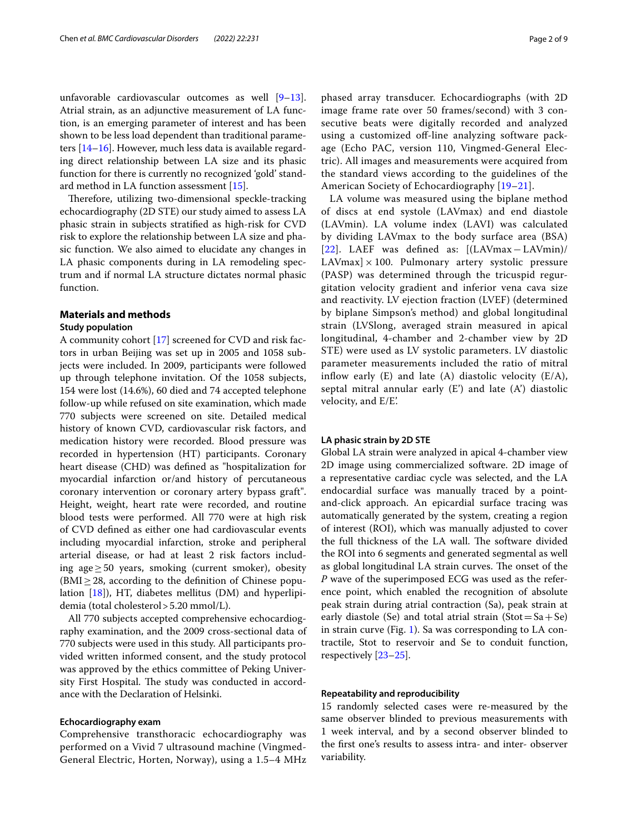unfavorable cardiovascular outcomes as well [\[9](#page-7-3)[–13](#page-8-0)]. Atrial strain, as an adjunctive measurement of LA function, is an emerging parameter of interest and has been shown to be less load dependent than traditional parameters [\[14](#page-8-1)[–16](#page-8-2)]. However, much less data is available regarding direct relationship between LA size and its phasic function for there is currently no recognized 'gold' standard method in LA function assessment [\[15](#page-8-3)].

Therefore, utilizing two-dimensional speckle-tracking echocardiography (2D STE) our study aimed to assess LA phasic strain in subjects stratifed as high-risk for CVD risk to explore the relationship between LA size and phasic function. We also aimed to elucidate any changes in LA phasic components during in LA remodeling spectrum and if normal LA structure dictates normal phasic function.

# **Materials and methods**

#### **Study population**

A community cohort [\[17](#page-8-4)] screened for CVD and risk factors in urban Beijing was set up in 2005 and 1058 subjects were included. In 2009, participants were followed up through telephone invitation. Of the 1058 subjects, 154 were lost (14.6%), 60 died and 74 accepted telephone follow-up while refused on site examination, which made 770 subjects were screened on site. Detailed medical history of known CVD, cardiovascular risk factors, and medication history were recorded. Blood pressure was recorded in hypertension (HT) participants. Coronary heart disease (CHD) was defned as "hospitalization for myocardial infarction or/and history of percutaneous coronary intervention or coronary artery bypass graft". Height, weight, heart rate were recorded, and routine blood tests were performed. All 770 were at high risk of CVD defned as either one had cardiovascular events including myocardial infarction, stroke and peripheral arterial disease, or had at least 2 risk factors including age≥50 years, smoking (current smoker), obesity  $(BMI \geq 28$ , according to the definition of Chinese population [\[18](#page-8-5)]), HT, diabetes mellitus (DM) and hyperlipidemia (total cholesterol>5.20 mmol/L).

All 770 subjects accepted comprehensive echocardiography examination, and the 2009 cross-sectional data of 770 subjects were used in this study. All participants provided written informed consent, and the study protocol was approved by the ethics committee of Peking University First Hospital. The study was conducted in accordance with the Declaration of Helsinki.

#### **Echocardiography exam**

Comprehensive transthoracic echocardiography was performed on a Vivid 7 ultrasound machine (Vingmed-General Electric, Horten, Norway), using a 1.5–4 MHz

phased array transducer. Echocardiographs (with 2D image frame rate over 50 frames/second) with 3 consecutive beats were digitally recorded and analyzed using a customized off-line analyzing software package (Echo PAC, version 110, Vingmed-General Electric). All images and measurements were acquired from the standard views according to the guidelines of the American Society of Echocardiography [[19](#page-8-6)[–21](#page-8-7)].

LA volume was measured using the biplane method of discs at end systole (LAVmax) and end diastole (LAVmin). LA volume index (LAVI) was calculated by dividing LAVmax to the body surface area (BSA) [[22](#page-8-8)]. LAEF was defned as: [(LAVmax−LAVmin)/ LAVmax]  $\times$  100. Pulmonary artery systolic pressure (PASP) was determined through the tricuspid regurgitation velocity gradient and inferior vena cava size and reactivity. LV ejection fraction (LVEF) (determined by biplane Simpson's method) and global longitudinal strain (LVSlong, averaged strain measured in apical longitudinal, 4-chamber and 2-chamber view by 2D STE) were used as LV systolic parameters. LV diastolic parameter measurements included the ratio of mitral inflow early  $(E)$  and late  $(A)$  diastolic velocity  $(E/A)$ , septal mitral annular early (E') and late (A') diastolic velocity, and E/E'.

#### **LA phasic strain by 2D STE**

Global LA strain were analyzed in apical 4-chamber view 2D image using commercialized software. 2D image of a representative cardiac cycle was selected, and the LA endocardial surface was manually traced by a pointand-click approach. An epicardial surface tracing was automatically generated by the system, creating a region of interest (ROI), which was manually adjusted to cover the full thickness of the LA wall. The software divided the ROI into 6 segments and generated segmental as well as global longitudinal LA strain curves. The onset of the *P* wave of the superimposed ECG was used as the reference point, which enabled the recognition of absolute peak strain during atrial contraction (Sa), peak strain at early diastole (Se) and total atrial strain (Stot=Sa+Se) in strain curve (Fig. [1\)](#page-2-0). Sa was corresponding to LA contractile, Stot to reservoir and Se to conduit function, respectively [[23](#page-8-9)[–25](#page-8-10)].

#### **Repeatability and reproducibility**

15 randomly selected cases were re-measured by the same observer blinded to previous measurements with 1 week interval, and by a second observer blinded to the frst one's results to assess intra- and inter- observer variability.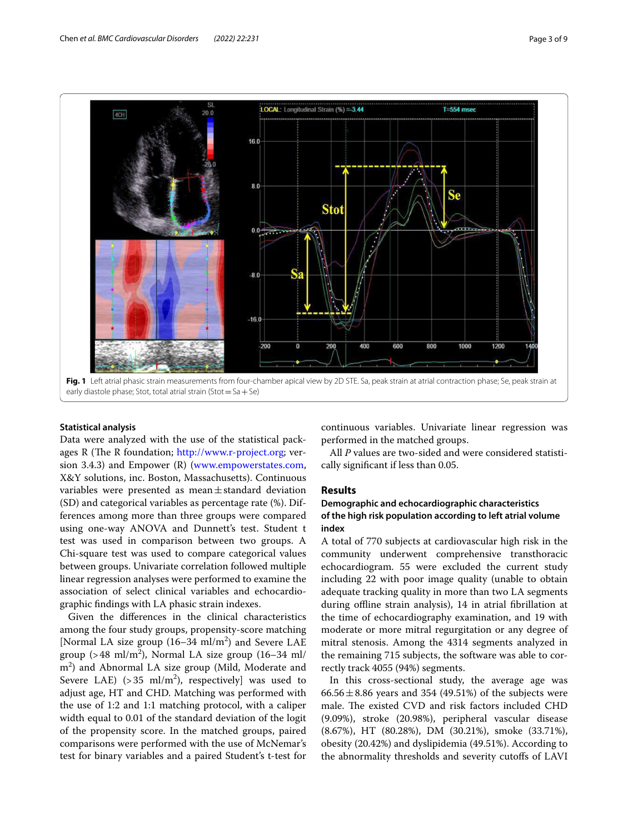

## <span id="page-2-0"></span>**Statistical analysis**

Data were analyzed with the use of the statistical packages R (The R foundation;  $http://www.r-project.org; ver http://www.r-project.org; ver$ sion 3.4.3) and Empower (R) ([www.empowerstates.com](http://www.empowerstates.com), X&Y solutions, inc. Boston, Massachusetts). Continuous variables were presented as mean $\pm$ standard deviation (SD) and categorical variables as percentage rate (%). Differences among more than three groups were compared using one-way ANOVA and Dunnett's test. Student t test was used in comparison between two groups. A Chi-square test was used to compare categorical values between groups. Univariate correlation followed multiple linear regression analyses were performed to examine the association of select clinical variables and echocardiographic fndings with LA phasic strain indexes.

Given the diferences in the clinical characteristics among the four study groups, propensity-score matching [Normal LA size group  $(16-34 \text{ ml/m}^2)$  and Severe LAE group (>48 ml/m<sup>2</sup>), Normal LA size group (16–34 ml/ m2 ) and Abnormal LA size group (Mild, Moderate and Severe LAE)  $(>35 \text{ ml/m}^2)$ , respectively] was used to adjust age, HT and CHD. Matching was performed with the use of 1:2 and 1:1 matching protocol, with a caliper width equal to 0.01 of the standard deviation of the logit of the propensity score. In the matched groups, paired comparisons were performed with the use of McNemar's test for binary variables and a paired Student's t-test for

continuous variables. Univariate linear regression was performed in the matched groups.

All *P* values are two-sided and were considered statistically signifcant if less than 0.05.

## **Results**

# **Demographic and echocardiographic characteristics of the high risk population according to left atrial volume index**

A total of 770 subjects at cardiovascular high risk in the community underwent comprehensive transthoracic echocardiogram. 55 were excluded the current study including 22 with poor image quality (unable to obtain adequate tracking quality in more than two LA segments during offline strain analysis), 14 in atrial fibrillation at the time of echocardiography examination, and 19 with moderate or more mitral regurgitation or any degree of mitral stenosis. Among the 4314 segments analyzed in the remaining 715 subjects, the software was able to correctly track 4055 (94%) segments.

In this cross-sectional study, the average age was  $66.56 \pm 8.86$  years and 354 (49.51%) of the subjects were male. The existed CVD and risk factors included CHD (9.09%), stroke (20.98%), peripheral vascular disease (8.67%), HT (80.28%), DM (30.21%), smoke (33.71%), obesity (20.42%) and dyslipidemia (49.51%). According to the abnormality thresholds and severity cutofs of LAVI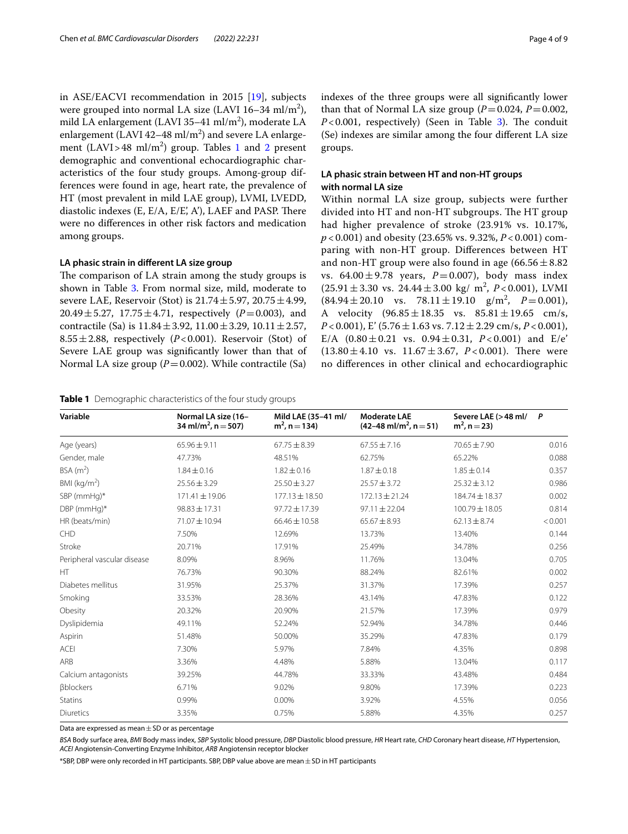in ASE/EACVI recommendation in 2015 [\[19\]](#page-8-6), subjects were grouped into normal LA size (LAVI 16–34 ml/m<sup>2</sup>), mild LA enlargement (LAVI 35–41 ml/m<sup>2</sup>), moderate LA enlargement (LAVI 42–48 ml/m<sup>2</sup>) and severe LA enlargement  $(LAVI > 48 \text{ ml/m}^2)$  $(LAVI > 48 \text{ ml/m}^2)$  $(LAVI > 48 \text{ ml/m}^2)$  group. Tables [1](#page-3-0) and 2 present demographic and conventional echocardiographic characteristics of the four study groups. Among-group differences were found in age, heart rate, the prevalence of HT (most prevalent in mild LAE group), LVMI, LVEDD, diastolic indexes  $(E, E/A, E/E, A')$ , LAEF and PASP. There were no diferences in other risk factors and medication among groups.

# **LA phasic strain in diferent LA size group**

The comparison of LA strain among the study groups is shown in Table [3](#page-4-1). From normal size, mild, moderate to severe LAE, Reservoir (Stot) is  $21.74 \pm 5.97$ ,  $20.75 \pm 4.99$ , 20.49 $\pm$ 5.27, 17.75 $\pm$ 4.71, respectively (*P*=0.003), and contractile (Sa) is  $11.84 \pm 3.92$ ,  $11.00 \pm 3.29$ ,  $10.11 \pm 2.57$ , 8.55 $\pm$ 2.88, respectively (*P*<0.001). Reservoir (Stot) of Severe LAE group was signifcantly lower than that of Normal LA size group  $(P=0.002)$ . While contractile (Sa)

<span id="page-3-0"></span>**Table 1** Demographic characteristics of the four study groups

**Variable Normal LA size (16–**

| indexes of the three groups were all significantly lower        |
|-----------------------------------------------------------------|
| than that of Normal LA size group ( $P = 0.024$ , $P = 0.002$ , |
| $P<0.001$ , respectively) (Seen in Table 3). The conduit        |
| (Se) indexes are similar among the four different LA size       |

# **LA phasic strain between HT and non‑HT groups with normal LA size**

groups.

Within normal LA size group, subjects were further divided into HT and non-HT subgroups. The HT group had higher prevalence of stroke (23.91% vs. 10.17%, *p* < 0.001) and obesity (23.65% vs. 9.32%, *P* < 0.001) comparing with non-HT group. Diferences between HT and non-HT group were also found in age  $(66.56 \pm 8.82)$ vs.  $64.00 \pm 9.78$  years,  $P = 0.007$ ), body mass index  $(25.91 \pm 3.30 \text{ vs. } 24.44 \pm 3.00 \text{ kg/m}^2, P < 0.001)$ , LVMI  $(84.94 \pm 20.10 \text{ vs. } 78.11 \pm 19.10 \text{ g/m}^2, P=0.001)$ , A velocity  $(96.85 \pm 18.35 \text{ vs. } 85.81 \pm 19.65 \text{ cm/s},$ *P* < 0.001), E' (5.76±1.63 vs. 7.12±2.29 cm/s, *P* < 0.001), E/A  $(0.80 \pm 0.21$  vs.  $0.94 \pm 0.31$ ,  $P < 0.001$ ) and E/e'  $(13.80 \pm 4.10 \text{ vs. } 11.67 \pm 3.67, P < 0.001)$ . There were no diferences in other clinical and echocardiographic

**Severe LAE (>48 ml/**

*P*

|                             | 34 ml/m <sup>2</sup> , n = 507) | $m^2$ , n = 134)   | $(42-48 \text{ ml/m}^2, n=51)$ | $m^2$ , n = 23)    |         |
|-----------------------------|---------------------------------|--------------------|--------------------------------|--------------------|---------|
| Age (years)                 | $65.96 \pm 9.11$                | $67.75 \pm 8.39$   | $67.55 \pm 7.16$               | $70.65 \pm 7.90$   | 0.016   |
| Gender, male                | 47.73%                          | 48.51%             | 62.75%                         | 65.22%             | 0.088   |
| BSA(m <sup>2</sup> )        | $1.84 \pm 0.16$                 | $1.82 \pm 0.16$    | $1.87 \pm 0.18$                | $1.85 \pm 0.14$    | 0.357   |
| BMI ( $kg/m2$ )             | $25.56 \pm 3.29$                | $25.50 \pm 3.27$   | $25.57 \pm 3.72$               | $25.32 \pm 3.12$   | 0.986   |
| SBP (mmHg)*                 | 171.41 ± 19.06                  | $177.13 \pm 18.50$ | $172.13 \pm 21.24$             | 184.74 ± 18.37     | 0.002   |
| DBP (mmHq)*                 | $98.83 \pm 17.31$               | 97.72 ± 17.39      | $97.11 \pm 22.04$              | $100.79 \pm 18.05$ | 0.814   |
| HR (beats/min)              | 71.07±10.94                     | $66.46 \pm 10.58$  | $65.67 \pm 8.93$               | $62.13 \pm 8.74$   | < 0.001 |
| <b>CHD</b>                  | 7.50%                           | 12.69%             | 13.73%                         | 13.40%             | 0.144   |
| Stroke                      | 20.71%                          | 17.91%             | 25.49%                         | 34.78%             | 0.256   |
| Peripheral vascular disease | 8.09%                           | 8.96%              | 11.76%                         | 13.04%             | 0.705   |
| ΗT                          | 76.73%                          | 90.30%             | 88.24%                         | 82.61%             | 0.002   |
| Diabetes mellitus           | 31.95%                          | 25.37%             | 31.37%                         | 17.39%             | 0.257   |
| Smoking                     | 33.53%                          | 28.36%             | 43.14%                         | 47.83%             | 0.122   |
| Obesity                     | 20.32%                          | 20.90%             | 21.57%                         | 17.39%             | 0.979   |
| Dyslipidemia                | 49.11%                          | 52.24%             | 52.94%                         | 34.78%             | 0.446   |
| Aspirin                     | 51.48%                          | 50.00%             | 35.29%                         | 47.83%             | 0.179   |
| ACEI                        | 7.30%                           | 5.97%              | 7.84%                          | 4.35%              | 0.898   |
| ARB                         | 3.36%                           | 4.48%              | 5.88%                          | 13.04%             | 0.117   |
| Calcium antagonists         | 39.25%                          | 44.78%             | 33.33%                         | 43.48%             | 0.484   |
| βblockers                   | 6.71%                           | 9.02%              | 9.80%                          | 17.39%             | 0.223   |
| <b>Statins</b>              | 0.99%                           | 0.00%              | 3.92%                          | 4.55%              | 0.056   |
| Diuretics                   | 3.35%                           | 0.75%              | 5.88%                          | 4.35%              | 0.257   |
|                             |                                 |                    |                                |                    |         |

**Mild LAE (35–41 ml/**

**Moderate LAE** 

Data are expressed as mean  $+$  SD or as percentage

*BSA* Body surface area, *BMI* Body mass index, *SBP* Systolic blood pressure, *DBP* Diastolic blood pressure, *HR* Heart rate, *CHD* Coronary heart disease, *HT* Hypertension, *ACEI* Angiotensin-Converting Enzyme Inhibitor, *ARB* Angiotensin receptor blocker

 $*$ SBP, DBP were only recorded in HT participants. SBP, DBP value above are mean $\pm$ SD in HT participants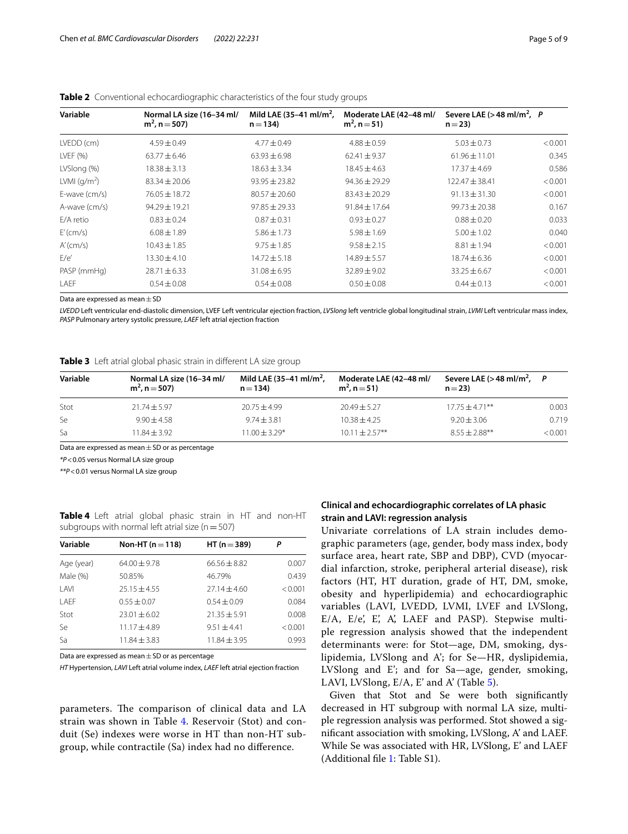| Variable         | Normal LA size (16-34 ml/<br>$m^2$ , n = 507) | Mild LAE $(35-41 \text{ ml/m}^2)$ .<br>$n = 134$ | Moderate LAE (42-48 ml/<br>$m^2$ , n = 51) | Severe LAE ( $>$ 48 ml/m <sup>2</sup> , P<br>$n = 23$ |         |
|------------------|-----------------------------------------------|--------------------------------------------------|--------------------------------------------|-------------------------------------------------------|---------|
| LVEDD (cm)       | $4.59 \pm 0.49$                               | $4.77 \pm 0.49$                                  | $4.88 \pm 0.59$                            | $5.03 \pm 0.73$                                       | < 0.001 |
| LVEF (%)         | $63.77 \pm 6.46$                              | $63.93 \pm 6.98$                                 | $62.41 \pm 9.37$                           | $61.96 \pm 11.01$                                     | 0.345   |
| LVSlong (%)      | $18.38 \pm 3.13$                              | $18.63 \pm 3.34$                                 | $18.45 \pm 4.63$                           | $17.37 \pm 4.69$                                      | 0.586   |
| LVMI $(q/m^2)$   | $83.34 \pm 20.06$                             | $93.95 \pm 23.82$                                | $94.36 \pm 29.29$                          | $122.47 \pm 38.41$                                    | < 0.001 |
| $E$ -wave (cm/s) | $76.05 \pm 18.72$                             | $80.57 \pm 20.60$                                | $83.43 \pm 20.29$                          | $91.13 \pm 31.30$                                     | < 0.001 |
| A-wave (cm/s)    | $94.29 + 19.21$                               | $97.85 \pm 29.33$                                | $91.84 + 17.64$                            | $99.73 + 20.38$                                       | 0.167   |
| E/A retio        | $0.83 \pm 0.24$                               | $0.87 \pm 0.31$                                  | $0.93 \pm 0.27$                            | $0.88 \pm 0.20$                                       | 0.033   |
| E'(cm/s)         | $6.08 + 1.89$                                 | $5.86 \pm 1.73$                                  | $5.98 \pm 1.69$                            | $5.00 \pm 1.02$                                       | 0.040   |
| A'(cm/s)         | $10.43 \pm 1.85$                              | $9.75 \pm 1.85$                                  | $9.58 \pm 2.15$                            | $8.81 \pm 1.94$                                       | < 0.001 |
| E/e'             | $13.30 \pm 4.10$                              | $14.72 \pm 5.18$                                 | $14.89 \pm 5.57$                           | $18.74 \pm 6.36$                                      | < 0.001 |
| PASP (mmHg)      | $28.71 \pm 6.33$                              | $31.08 \pm 6.95$                                 | $32.89 \pm 9.02$                           | $33.25 \pm 6.67$                                      | < 0.001 |
| LAEF             | $0.54 \pm 0.08$                               | $0.54 \pm 0.08$                                  | $0.50 \pm 0.08$                            | $0.44 \pm 0.13$                                       | < 0.001 |

<span id="page-4-0"></span>**Table 2** Conventional echocardiographic characteristics of the four study groups

Data are expressed as mean  $\pm$  SD

*LVEDD* Left ventricular end-diastolic dimension, LVEF Left ventricular ejection fraction, *LVSlong* left ventricle global longitudinal strain, *LVMI* Left ventricular mass index, *PASP* Pulmonary artery systolic pressure, *LAEF* left atrial ejection fraction

<span id="page-4-1"></span>

|  | Table 3 Left atrial global phasic strain in different LA size group |  |  |  |
|--|---------------------------------------------------------------------|--|--|--|
|--|---------------------------------------------------------------------|--|--|--|

| Variable | Normal LA size (16-34 ml/<br>$m^2$ , n = 507) | Mild LAE (35-41 ml/m <sup>2</sup> ,<br>$n = 134$ | Moderate LAE (42-48 ml/<br>$m^2$ , n = 51) | Severe LAE (> 48 ml/m <sup>2</sup> , $P$<br>$n = 23$ |         |
|----------|-----------------------------------------------|--------------------------------------------------|--------------------------------------------|------------------------------------------------------|---------|
| Stot     | $21.74 + 5.97$                                | $20.75 + 4.99$                                   | $20.49 + 5.27$                             | $17.75 + 4.71**$                                     | 0.003   |
| Se       | $9.90 + 4.58$                                 | $9.74 + 3.81$                                    | $10.38 + 4.25$                             | $9.20 \pm 3.06$                                      | 0.719   |
| Sa       | $11.84 + 3.92$                                | $11.00 \pm 3.29*$                                | $10.11 \pm 2.57$ **                        | $8.55 + 2.88$ **                                     | < 0.001 |

Data are expressed as mean  $\pm$  SD or as percentage

*\*P*<0.05 versus Normal LA size group

*\*\*P*<0.01 versus Normal LA size group

<span id="page-4-2"></span>

| <b>Table 4</b> Left atrial global phasic strain in HT and non-HT |  |  |  |  |  |
|------------------------------------------------------------------|--|--|--|--|--|
| subgroups with normal left atrial size $(n = 507)$               |  |  |  |  |  |

| Variable   | Non-HT $(n=118)$ | $HT (n = 389)$  | Ρ       |
|------------|------------------|-----------------|---------|
| Age (year) | $64.00 + 9.78$   | $66.56 + 8.82$  | 0.007   |
| Male (%)   | 50.85%           | 46.79%          | 0.439   |
| I AVI      | $25.15 + 4.55$   | $27.14 + 4.60$  | < 0.001 |
| I AFF      | $0.55 + 0.07$    | $0.54 \pm 0.09$ | 0.084   |
| Stot       | $23.01 + 6.02$   | $21.35 + 5.91$  | 0.008   |
| Se         | $11.17 + 4.89$   | $9.51 + 4.41$   | < 0.001 |
| Sa         | $11.84 + 3.83$   | $11.84 + 3.95$  | 0.993   |

Data are expressed as mean  $\pm$  SD or as percentage

*HT* Hypertension, *LAVI* Left atrial volume index, *LAEF* left atrial ejection fraction

parameters. The comparison of clinical data and LA strain was shown in Table [4.](#page-4-2) Reservoir (Stot) and conduit (Se) indexes were worse in HT than non-HT subgroup, while contractile (Sa) index had no diference.

# **Clinical and echocardiographic correlates of LA phasic strain and LAVI: regression analysis**

Univariate correlations of LA strain includes demographic parameters (age, gender, body mass index, body surface area, heart rate, SBP and DBP), CVD (myocardial infarction, stroke, peripheral arterial disease), risk factors (HT, HT duration, grade of HT, DM, smoke, obesity and hyperlipidemia) and echocardiographic variables (LAVI, LVEDD, LVMI, LVEF and LVSlong, E/A, E/e', E', A', LAEF and PASP). Stepwise multiple regression analysis showed that the independent determinants were: for Stot—age, DM, smoking, dyslipidemia, LVSlong and A'; for Se—HR, dyslipidemia, LVSlong and E'; and for Sa—age, gender, smoking, LAVI, LVSlong, E/A, E' and A' (Table [5](#page-5-0)).

Given that Stot and Se were both signifcantly decreased in HT subgroup with normal LA size, multiple regression analysis was performed. Stot showed a signifcant association with smoking, LVSlong, A' and LAEF. While Se was associated with HR, LVSlong, E' and LAEF (Additional fle [1](#page-7-4): Table S1).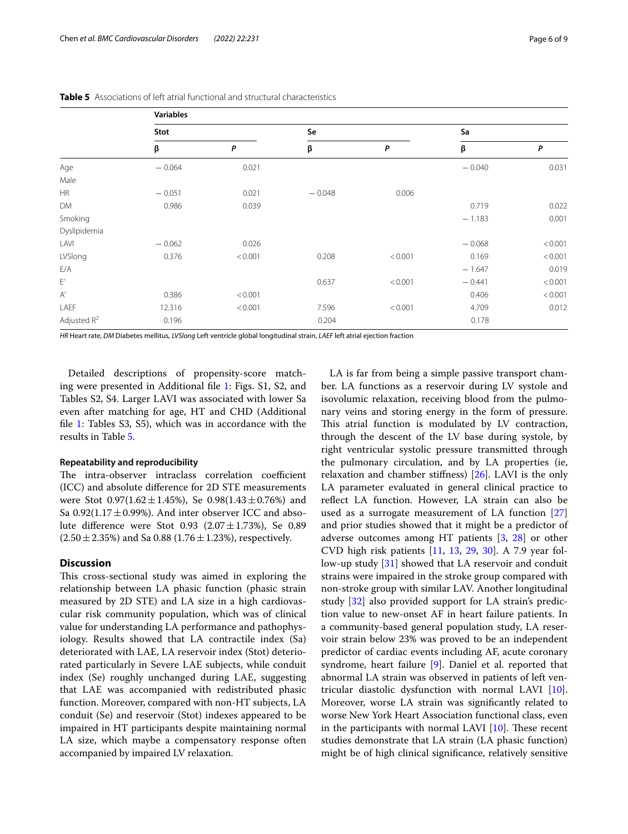|                | <b>Variables</b> |         |          |         |          |         |  |
|----------------|------------------|---------|----------|---------|----------|---------|--|
|                | Stot             |         | Se       |         | Sa       |         |  |
|                | β                | P       | β        | P       | β        | P       |  |
| Age            | $-0.064$         | 0.021   |          |         | $-0.040$ | 0.031   |  |
| Male           |                  |         |          |         |          |         |  |
| <b>HR</b>      | $-0.051$         | 0.021   | $-0.048$ | 0.006   |          |         |  |
| DM             | 0.986            | 0.039   |          |         | 0.719    | 0.022   |  |
| Smoking        |                  |         |          |         | $-1.183$ | 0.001   |  |
| Dyslipidemia   |                  |         |          |         |          |         |  |
| LAVI           | $-0.062$         | 0.026   |          |         | $-0.068$ | < 0.001 |  |
| LVSlong        | 0.376            | < 0.001 | 0.208    | < 0.001 | 0.169    | < 0.001 |  |
| E/A            |                  |         |          |         | $-1.647$ | 0.019   |  |
| $\mathsf{E}'$  |                  |         | 0.637    | < 0.001 | $-0.441$ | < 0.001 |  |
| $\mathsf{A}'$  | 0.386            | < 0.001 |          |         | 0.406    | < 0.001 |  |
| LAEF           | 12.316           | < 0.001 | 7.596    | < 0.001 | 4.709    | 0.012   |  |
| Adjusted $R^2$ | 0.196            |         | 0.204    |         | 0.178    |         |  |

<span id="page-5-0"></span>**Table 5** Associations of left atrial functional and structural characteristics

*HR* Heart rate, *DM* Diabetes mellitus, *LVSlong* Left ventricle global longitudinal strain, *LAEF* left atrial ejection fraction

Detailed descriptions of propensity-score matching were presented in Additional fle [1](#page-7-4): Figs. S1, S2, and Tables S2, S4. Larger LAVI was associated with lower Sa even after matching for age, HT and CHD (Additional fle [1:](#page-7-4) Tables S3, S5), which was in accordance with the results in Table [5.](#page-5-0)

## **Repeatability and reproducibility**

The intra-observer intraclass correlation coefficient (ICC) and absolute diference for 2D STE measurements were Stot  $0.97(1.62 \pm 1.45%)$ , Se  $0.98(1.43 \pm 0.76%)$  and Sa  $0.92(1.17 \pm 0.99\%)$ . And inter observer ICC and absolute difference were Stot 0.93 (2.07 $\pm$ 1.73%), Se 0.89  $(2.50 \pm 2.35\%)$  and Sa 0.88 (1.76  $\pm$  1.23%), respectively.

# **Discussion**

This cross-sectional study was aimed in exploring the relationship between LA phasic function (phasic strain measured by 2D STE) and LA size in a high cardiovascular risk community population, which was of clinical value for understanding LA performance and pathophysiology. Results showed that LA contractile index (Sa) deteriorated with LAE, LA reservoir index (Stot) deteriorated particularly in Severe LAE subjects, while conduit index (Se) roughly unchanged during LAE, suggesting that LAE was accompanied with redistributed phasic function. Moreover, compared with non-HT subjects, LA conduit (Se) and reservoir (Stot) indexes appeared to be impaired in HT participants despite maintaining normal LA size, which maybe a compensatory response often accompanied by impaired LV relaxation.

LA is far from being a simple passive transport chamber. LA functions as a reservoir during LV systole and isovolumic relaxation, receiving blood from the pulmonary veins and storing energy in the form of pressure. This atrial function is modulated by LV contraction, through the descent of the LV base during systole, by right ventricular systolic pressure transmitted through the pulmonary circulation, and by LA properties (ie, relaxation and chamber stifness) [\[26\]](#page-8-11). LAVI is the only LA parameter evaluated in general clinical practice to refect LA function. However, LA strain can also be used as a surrogate measurement of LA function [[27](#page-8-12)] and prior studies showed that it might be a predictor of adverse outcomes among HT patients [[3,](#page-7-5) [28\]](#page-8-13) or other CVD high risk patients [\[11](#page-7-6), [13,](#page-8-0) [29,](#page-8-14) [30\]](#page-8-15). A 7.9 year follow-up study [[31\]](#page-8-16) showed that LA reservoir and conduit strains were impaired in the stroke group compared with non-stroke group with similar LAV. Another longitudinal study [[32](#page-8-17)] also provided support for LA strain's prediction value to new-onset AF in heart failure patients. In a community-based general population study, LA reservoir strain below 23% was proved to be an independent predictor of cardiac events including AF, acute coronary syndrome, heart failure [\[9](#page-7-3)]. Daniel et al. reported that abnormal LA strain was observed in patients of left ventricular diastolic dysfunction with normal LAVI [\[10](#page-7-7)]. Moreover, worse LA strain was signifcantly related to worse New York Heart Association functional class, even in the participants with normal LAVI  $[10]$  $[10]$ . These recent studies demonstrate that LA strain (LA phasic function) might be of high clinical signifcance, relatively sensitive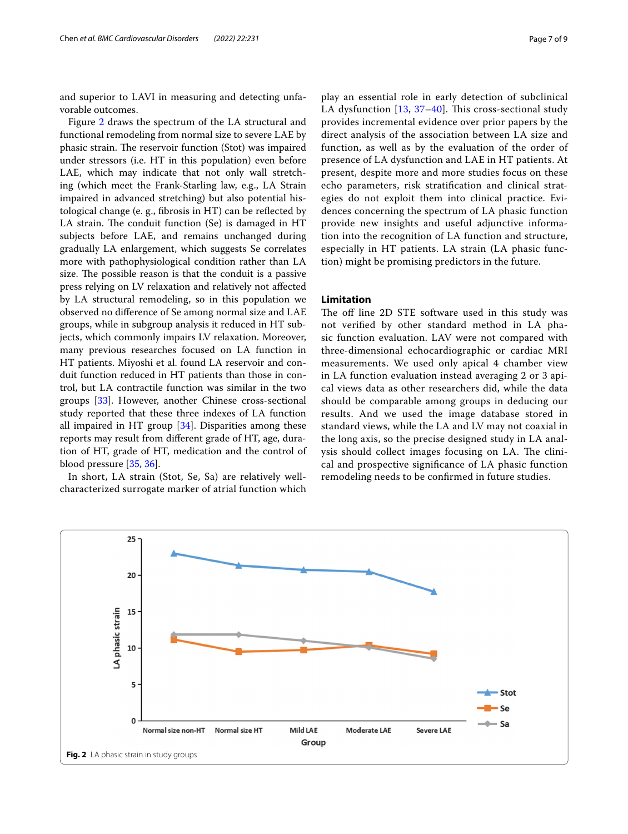and superior to LAVI in measuring and detecting unfavorable outcomes.

Figure [2](#page-6-0) draws the spectrum of the LA structural and functional remodeling from normal size to severe LAE by phasic strain. The reservoir function (Stot) was impaired under stressors (i.e. HT in this population) even before LAE, which may indicate that not only wall stretching (which meet the Frank-Starling law, e.g., LA Strain impaired in advanced stretching) but also potential histological change (e. g., fbrosis in HT) can be refected by LA strain. The conduit function (Se) is damaged in HT subjects before LAE, and remains unchanged during gradually LA enlargement, which suggests Se correlates more with pathophysiological condition rather than LA size. The possible reason is that the conduit is a passive press relying on LV relaxation and relatively not afected by LA structural remodeling, so in this population we observed no diference of Se among normal size and LAE groups, while in subgroup analysis it reduced in HT subjects, which commonly impairs LV relaxation. Moreover, many previous researches focused on LA function in HT patients. Miyoshi et al. found LA reservoir and conduit function reduced in HT patients than those in control, but LA contractile function was similar in the two groups [[33](#page-8-18)]. However, another Chinese cross-sectional study reported that these three indexes of LA function all impaired in HT group [[34\]](#page-8-19). Disparities among these reports may result from diferent grade of HT, age, duration of HT, grade of HT, medication and the control of blood pressure [[35](#page-8-20), [36\]](#page-8-21).

In short, LA strain (Stot, Se, Sa) are relatively wellcharacterized surrogate marker of atrial function which play an essential role in early detection of subclinical LA dysfunction  $[13, 37-40]$  $[13, 37-40]$  $[13, 37-40]$  $[13, 37-40]$ . This cross-sectional study provides incremental evidence over prior papers by the direct analysis of the association between LA size and function, as well as by the evaluation of the order of presence of LA dysfunction and LAE in HT patients. At present, despite more and more studies focus on these echo parameters, risk stratifcation and clinical strategies do not exploit them into clinical practice. Evidences concerning the spectrum of LA phasic function provide new insights and useful adjunctive information into the recognition of LA function and structure, especially in HT patients. LA strain (LA phasic function) might be promising predictors in the future.

# **Limitation**

The off line 2D STE software used in this study was not verifed by other standard method in LA phasic function evaluation. LAV were not compared with three-dimensional echocardiographic or cardiac MRI measurements. We used only apical 4 chamber view in LA function evaluation instead averaging 2 or 3 apical views data as other researchers did, while the data should be comparable among groups in deducing our results. And we used the image database stored in standard views, while the LA and LV may not coaxial in the long axis, so the precise designed study in LA analysis should collect images focusing on LA. The clinical and prospective signifcance of LA phasic function remodeling needs to be confrmed in future studies.

<span id="page-6-0"></span>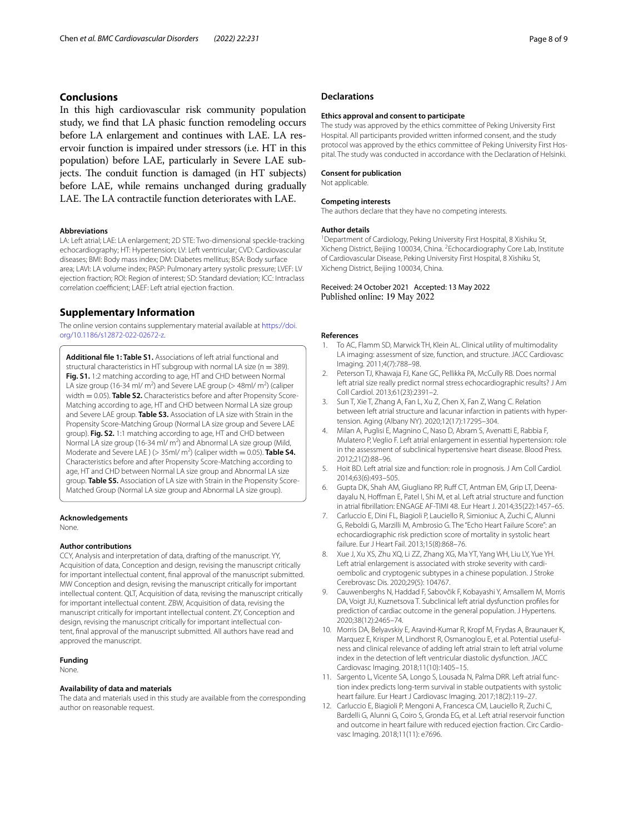# **Conclusions**

In this high cardiovascular risk community population study, we fnd that LA phasic function remodeling occurs before LA enlargement and continues with LAE. LA reservoir function is impaired under stressors (i.e. HT in this population) before LAE, particularly in Severe LAE subjects. The conduit function is damaged (in HT subjects) before LAE, while remains unchanged during gradually LAE. The LA contractile function deteriorates with LAE.

#### **Abbreviations**

LA: Left atrial; LAE: LA enlargement; 2D STE: Two-dimensional speckle-tracking echocardiography; HT: Hypertension; LV: Left ventricular; CVD: Cardiovascular diseases; BMI: Body mass index; DM: Diabetes mellitus; BSA: Body surface area; LAVI: LA volume index; PASP: Pulmonary artery systolic pressure; LVEF: LV ejection fraction; ROI: Region of interest; SD: Standard deviation; ICC: Intraclass correlation coefficient; LAEF: Left atrial ejection fraction.

# **Supplementary Information**

The online version contains supplementary material available at [https://doi.](https://doi.org/10.1186/s12872-022-02672-z) [org/10.1186/s12872-022-02672-z.](https://doi.org/10.1186/s12872-022-02672-z)

<span id="page-7-4"></span>**Additional fle 1: Table S1.** Associations of left atrial functional and structural characteristics in HT subgroup with normal LA size ( $n = 389$ ). **Fig. S1.** 1:2 matching according to age, HT and CHD between Normal LA size group (16-34 ml/ m<sup>2</sup>) and Severe LAE group (> 48ml/ m<sup>2</sup>) (caliper width = 0.05). **Table S2.** Characteristics before and after Propensity Score-Matching according to age, HT and CHD between Normal LA size group and Severe LAE group. **Table S3.** Association of LA size with Strain in the Propensity Score-Matching Group (Normal LA size group and Severe LAE group). **Fig. S2.** 1:1 matching according to age, HT and CHD between Normal LA size group (16-34 ml/ m<sup>2</sup>) and Abnormal LA size group (Mild, Moderate and Severe LAE ) (> 35ml/ m<sup>2</sup>) (caliper width = 0.05). **Table S4.** Characteristics before and after Propensity Score-Matching according to age, HT and CHD between Normal LA size group and Abnormal LA size group. **Table S5.** Association of LA size with Strain in the Propensity Score-Matched Group (Normal LA size group and Abnormal LA size group).

# **Acknowledgements**

None.

#### **Author contributions**

CCY, Analysis and interpretation of data, drafting of the manuscript. YY, Acquisition of data, Conception and design, revising the manuscript critically for important intellectual content, fnal approval of the manuscript submitted. MW Conception and design, revising the manuscript critically for important intellectual content. QLT, Acquisition of data, revising the manuscript critically for important intellectual content. ZBW, Acquisition of data, revising the manuscript critically for important intellectual content. ZY, Conception and design, revising the manuscript critically for important intellectual content, fnal approval of the manuscript submitted. All authors have read and approved the manuscript.

# **Funding**

None.

# **Availability of data and materials**

The data and materials used in this study are available from the corresponding author on reasonable request.

# **Declarations**

#### **Ethics approval and consent to participate**

The study was approved by the ethics committee of Peking University First Hospital. All participants provided written informed consent, and the study protocol was approved by the ethics committee of Peking University First Hospital. The study was conducted in accordance with the Declaration of Helsinki.

## **Consent for publication**

Not applicable.

#### **Competing interests**

The authors declare that they have no competing interests.

#### **Author details**

<sup>1</sup> Department of Cardiology, Peking University First Hospital, 8 Xishiku St, Xicheng District, Beijing 100034, China. <sup>2</sup>Echocardiography Core Lab, Institute of Cardiovascular Disease, Peking University First Hospital, 8 Xishiku St, Xicheng District, Beijing 100034, China.

## Received: 24 October 2021 Accepted: 13 May 2022 Published online: 19 May 2022

#### **References**

- <span id="page-7-0"></span>1. To AC, Flamm SD, Marwick TH, Klein AL. Clinical utility of multimodality LA imaging: assessment of size, function, and structure. JACC Cardiovasc Imaging. 2011;4(7):788–98.
- <span id="page-7-1"></span>2. Peterson TJ, Khawaja FJ, Kane GC, Pellikka PA, McCully RB. Does normal left atrial size really predict normal stress echocardiographic results? J Am Coll Cardiol. 2013;61(23):2391–2.
- <span id="page-7-5"></span>3. Sun T, Xie T, Zhang A, Fan L, Xu Z, Chen X, Fan Z, Wang C. Relation between left atrial structure and lacunar infarction in patients with hypertension. Aging (Albany NY). 2020;12(17):17295–304.
- 4. Milan A, Puglisi E, Magnino C, Naso D, Abram S, Avenatti E, Rabbia F, Mulatero P, Veglio F. Left atrial enlargement in essential hypertension: role in the assessment of subclinical hypertensive heart disease. Blood Press. 2012;21(2):88–96.
- 5. Hoit BD. Left atrial size and function: role in prognosis. J Am Coll Cardiol. 2014;63(6):493–505.
- 6. Gupta DK, Shah AM, Giugliano RP, Ruf CT, Antman EM, Grip LT, Deenadayalu N, Hofman E, Patel I, Shi M, et al. Left atrial structure and function in atrial fbrillation: ENGAGE AF-TIMI 48. Eur Heart J. 2014;35(22):1457–65.
- 7. Carluccio E, Dini FL, Biagioli P, Lauciello R, Simioniuc A, Zuchi C, Alunni G, Reboldi G, Marzilli M, Ambrosio G. The "Echo Heart Failure Score": an echocardiographic risk prediction score of mortality in systolic heart failure. Eur J Heart Fail. 2013;15(8):868–76.
- <span id="page-7-2"></span>8. Xue J, Xu XS, Zhu XQ, Li ZZ, Zhang XG, Ma YT, Yang WH, Liu LY, Yue YH. Left atrial enlargement is associated with stroke severity with cardioembolic and cryptogenic subtypes in a chinese population. J Stroke Cerebrovasc Dis. 2020;29(5): 104767.
- <span id="page-7-3"></span>9. Cauwenberghs N, Haddad F, Sabovčik F, Kobayashi Y, Amsallem M, Morris DA, Voigt JU, Kuznetsova T. Subclinical left atrial dysfunction profles for prediction of cardiac outcome in the general population. J Hypertens. 2020;38(12):2465–74.
- <span id="page-7-7"></span>10. Morris DA, Belyavskiy E, Aravind-Kumar R, Kropf M, Frydas A, Braunauer K, Marquez E, Krisper M, Lindhorst R, Osmanoglou E, et al. Potential usefulness and clinical relevance of adding left atrial strain to left atrial volume index in the detection of left ventricular diastolic dysfunction. JACC Cardiovasc Imaging. 2018;11(10):1405–15.
- <span id="page-7-6"></span>11. Sargento L, Vicente SA, Longo S, Lousada N, Palma DRR. Left atrial function index predicts long-term survival in stable outpatients with systolic heart failure. Eur Heart J Cardiovasc Imaging. 2017;18(2):119–27.
- 12. Carluccio E, Biagioli P, Mengoni A, Francesca CM, Lauciello R, Zuchi C, Bardelli G, Alunni G, Coiro S, Gronda EG, et al. Left atrial reservoir function and outcome in heart failure with reduced ejection fraction. Circ Cardiovasc Imaging. 2018;11(11): e7696.